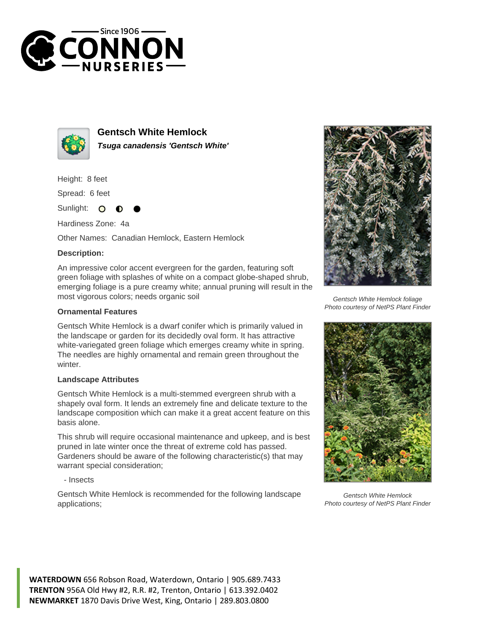



**Gentsch White Hemlock Tsuga canadensis 'Gentsch White'**

Height: 8 feet

Spread: 6 feet

Sunlight:  $\Omega$ 

Hardiness Zone: 4a

Other Names: Canadian Hemlock, Eastern Hemlock

## **Description:**

An impressive color accent evergreen for the garden, featuring soft green foliage with splashes of white on a compact globe-shaped shrub, emerging foliage is a pure creamy white; annual pruning will result in the most vigorous colors; needs organic soil

## **Ornamental Features**

Gentsch White Hemlock is a dwarf conifer which is primarily valued in the landscape or garden for its decidedly oval form. It has attractive white-variegated green foliage which emerges creamy white in spring. The needles are highly ornamental and remain green throughout the winter.

## **Landscape Attributes**

Gentsch White Hemlock is a multi-stemmed evergreen shrub with a shapely oval form. It lends an extremely fine and delicate texture to the landscape composition which can make it a great accent feature on this basis alone.

This shrub will require occasional maintenance and upkeep, and is best pruned in late winter once the threat of extreme cold has passed. Gardeners should be aware of the following characteristic(s) that may warrant special consideration;

- Insects

Gentsch White Hemlock is recommended for the following landscape applications;



Gentsch White Hemlock foliage Photo courtesy of NetPS Plant Finder



Gentsch White Hemlock Photo courtesy of NetPS Plant Finder